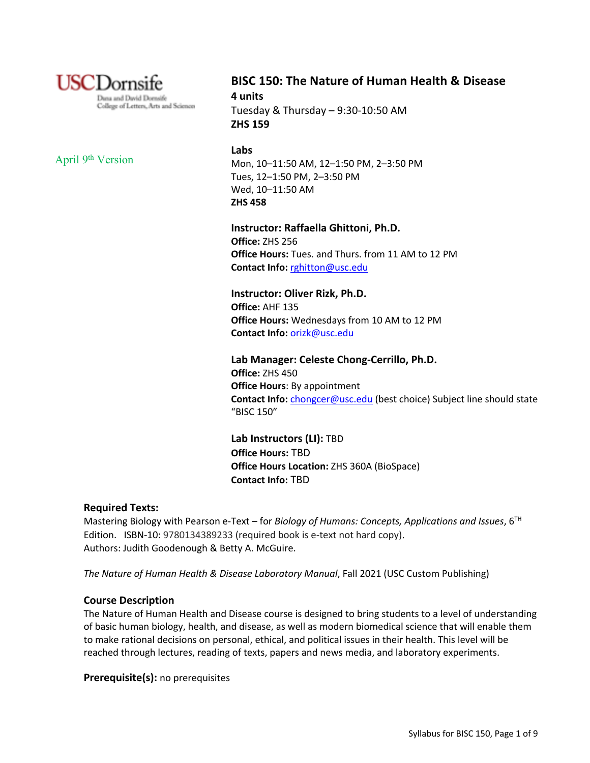

# April 9<sup>th</sup> Version

**BISC 150: The Nature of Human Health & Disease 4 units**

Tuesday & Thursday – 9:30-10:50 AM **ZHS 159**

### **Labs**

Mon, 10–11:50 AM, 12–1:50 PM, 2–3:50 PM Tues, 12–1:50 PM, 2–3:50 PM Wed, 10–11:50 AM **ZHS 458**

**Instructor: Raffaella Ghittoni, Ph.D. Office:** ZHS 256 **Office Hours:** Tues. and Thurs. from 11 AM to 12 PM **Contact Info:** rghitton@usc.edu

**Instructor: Oliver Rizk, Ph.D. Office:** AHF 135 **Office Hours:** Wednesdays from 10 AM to 12 PM **Contact Info:** orizk@usc.edu

**Lab Manager: Celeste Chong-Cerrillo, Ph.D. Office:** ZHS 450 **Office Hours**: By appointment **Contact Info:** chongcer@usc.edu (best choice) Subject line should state "BISC 150"

**Lab Instructors (LI):** TBD **Office Hours:** TBD **Office Hours Location:** ZHS 360A (BioSpace) **Contact Info:** TBD

### **Required Texts:**

Mastering Biology with Pearson e-Text – for *Biology of Humans: Concepts, Applications and Issues*, 6TH Edition. ISBN-10: 9780134389233 (required book is e-text not hard copy). Authors: Judith Goodenough & Betty A. McGuire.

*The Nature of Human Health & Disease Laboratory Manual*, Fall 2021 (USC Custom Publishing)

### **Course Description**

The Nature of Human Health and Disease course is designed to bring students to a level of understanding of basic human biology, health, and disease, as well as modern biomedical science that will enable them to make rational decisions on personal, ethical, and political issues in their health. This level will be reached through lectures, reading of texts, papers and news media, and laboratory experiments.

**Prerequisite(s):** no prerequisites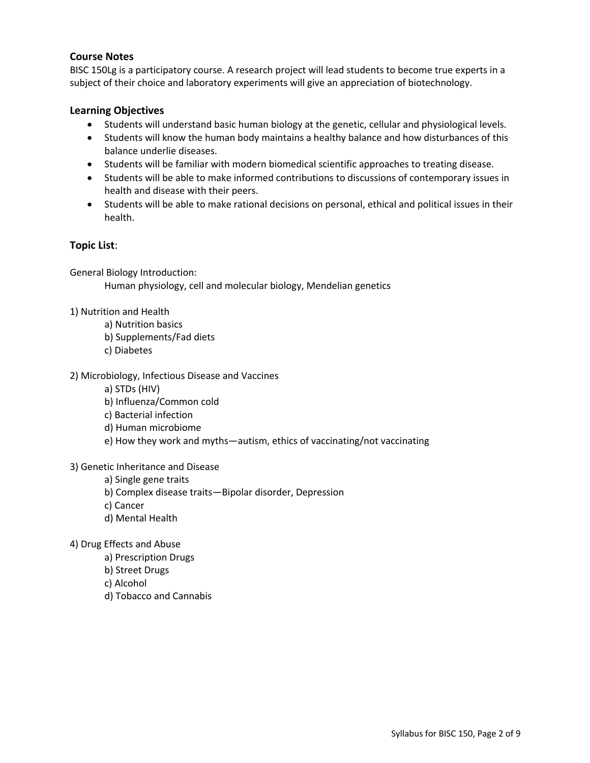### **Course Notes**

BISC 150Lg is a participatory course. A research project will lead students to become true experts in a subject of their choice and laboratory experiments will give an appreciation of biotechnology.

### **Learning Objectives**

- Students will understand basic human biology at the genetic, cellular and physiological levels.
- Students will know the human body maintains a healthy balance and how disturbances of this balance underlie diseases.
- Students will be familiar with modern biomedical scientific approaches to treating disease.
- Students will be able to make informed contributions to discussions of contemporary issues in health and disease with their peers.
- Students will be able to make rational decisions on personal, ethical and political issues in their health.

### **Topic List**:

General Biology Introduction:

Human physiology, cell and molecular biology, Mendelian genetics

1) Nutrition and Health

- a) Nutrition basics
- b) Supplements/Fad diets
- c) Diabetes

### 2) Microbiology, Infectious Disease and Vaccines

- a) STDs (HIV)
- b) Influenza/Common cold
- c) Bacterial infection
- d) Human microbiome
- e) How they work and myths—autism, ethics of vaccinating/not vaccinating
- 3) Genetic Inheritance and Disease
	- a) Single gene traits
	- b) Complex disease traits—Bipolar disorder, Depression
	- c) Cancer
	- d) Mental Health
- 4) Drug Effects and Abuse
	- a) Prescription Drugs
	- b) Street Drugs
	- c) Alcohol
	- d) Tobacco and Cannabis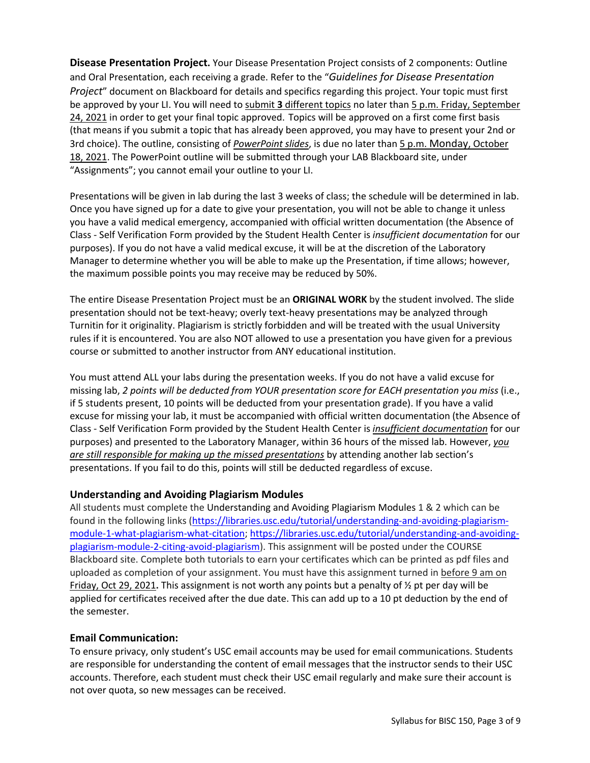**Disease Presentation Project.** Your Disease Presentation Project consists of 2 components: Outline and Oral Presentation, each receiving a grade. Refer to the "*Guidelines for Disease Presentation Project*" document on Blackboard for details and specifics regarding this project. Your topic must first be approved by your LI. You will need to submit **3** different topics no later than 5 p.m. Friday, September 24, 2021 in order to get your final topic approved. Topics will be approved on a first come first basis (that means if you submit a topic that has already been approved, you may have to present your 2nd or 3rd choice). The outline, consisting of *PowerPoint slides*, is due no later than 5 p.m. Monday, October 18, 2021. The PowerPoint outline will be submitted through your LAB Blackboard site, under "Assignments"; you cannot email your outline to your LI.

Presentations will be given in lab during the last 3 weeks of class; the schedule will be determined in lab. Once you have signed up for a date to give your presentation, you will not be able to change it unless you have a valid medical emergency, accompanied with official written documentation (the Absence of Class - Self Verification Form provided by the Student Health Center is *insufficient documentation* for our purposes). If you do not have a valid medical excuse, it will be at the discretion of the Laboratory Manager to determine whether you will be able to make up the Presentation, if time allows; however, the maximum possible points you may receive may be reduced by 50%.

The entire Disease Presentation Project must be an **ORIGINAL WORK** by the student involved. The slide presentation should not be text-heavy; overly text-heavy presentations may be analyzed through Turnitin for it originality. Plagiarism is strictly forbidden and will be treated with the usual University rules if it is encountered. You are also NOT allowed to use a presentation you have given for a previous course or submitted to another instructor from ANY educational institution.

You must attend ALL your labs during the presentation weeks. If you do not have a valid excuse for missing lab, *2 points will be deducted from YOUR presentation score for EACH presentation you miss* (i.e., if 5 students present, 10 points will be deducted from your presentation grade). If you have a valid excuse for missing your lab, it must be accompanied with official written documentation (the Absence of Class - Self Verification Form provided by the Student Health Center is *insufficient documentation* for our purposes) and presented to the Laboratory Manager, within 36 hours of the missed lab. However, *you are still responsible for making up the missed presentations* by attending another lab section's presentations. If you fail to do this, points will still be deducted regardless of excuse.

# **Understanding and Avoiding Plagiarism Modules**

All students must complete the Understanding and Avoiding Plagiarism Modules 1 & 2 which can be found in the following links (https://libraries.usc.edu/tutorial/understanding-and-avoiding-plagiarismmodule-1-what-plagiarism-what-citation; https://libraries.usc.edu/tutorial/understanding-and-avoidingplagiarism-module-2-citing-avoid-plagiarism). This assignment will be posted under the COURSE Blackboard site. Complete both tutorials to earn your certificates which can be printed as pdf files and uploaded as completion of your assignment. You must have this assignment turned in before 9 am on Friday, Oct 29, 2021**.** This assignment is not worth any points but a penalty of ½ pt per day will be applied for certificates received after the due date. This can add up to a 10 pt deduction by the end of the semester.

### **Email Communication:**

To ensure privacy, only student's USC email accounts may be used for email communications. Students are responsible for understanding the content of email messages that the instructor sends to their USC accounts. Therefore, each student must check their USC email regularly and make sure their account is not over quota, so new messages can be received.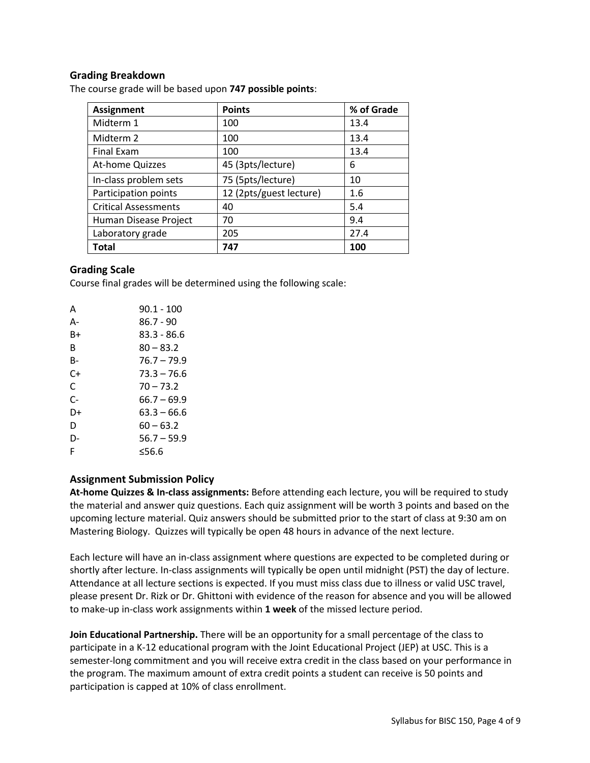### **Grading Breakdown**

The course grade will be based upon **747 possible points**:

| <b>Assignment</b>           | <b>Points</b>           | % of Grade |
|-----------------------------|-------------------------|------------|
| Midterm 1                   | 100                     | 13.4       |
| Midterm 2                   | 100                     | 13.4       |
| <b>Final Exam</b>           | 100                     | 13.4       |
| At-home Quizzes             | 45 (3pts/lecture)       | 6          |
| In-class problem sets       | 75 (5pts/lecture)       | 10         |
| Participation points        | 12 (2pts/guest lecture) | 1.6        |
| <b>Critical Assessments</b> | 40                      | 5.4        |
| Human Disease Project       | 70                      | 9.4        |
| Laboratory grade            | 205                     | 27.4       |
| Total                       | 747                     | 100        |

### **Grading Scale**

Course final grades will be determined using the following scale:

| А  | 90.1 - 100    |
|----|---------------|
| А- | 86.7 - 90     |
| R+ | 83.3 - 86.6   |
| в  | $80 - 83.2$   |
| B- | 76.7 – 79.9   |
| C+ | 73.3 – 76.6   |
| C  | $70 - 73.2$   |
| C- | 66.7 – 69.9   |
| D+ | 63.3 – 66.6   |
| D  | $60 - 63.2$   |
| D- | $56.7 - 59.9$ |
| F  | 556.6         |

### **Assignment Submission Policy**

**At-home Quizzes & In-class assignments:** Before attending each lecture, you will be required to study the material and answer quiz questions. Each quiz assignment will be worth 3 points and based on the upcoming lecture material. Quiz answers should be submitted prior to the start of class at 9:30 am on Mastering Biology. Quizzes will typically be open 48 hours in advance of the next lecture.

Each lecture will have an in-class assignment where questions are expected to be completed during or shortly after lecture. In-class assignments will typically be open until midnight (PST) the day of lecture. Attendance at all lecture sections is expected. If you must miss class due to illness or valid USC travel, please present Dr. Rizk or Dr. Ghittoni with evidence of the reason for absence and you will be allowed to make-up in-class work assignments within **1 week** of the missed lecture period.

**Join Educational Partnership.** There will be an opportunity for a small percentage of the class to participate in a K-12 educational program with the Joint Educational Project (JEP) at USC. This is a semester-long commitment and you will receive extra credit in the class based on your performance in the program. The maximum amount of extra credit points a student can receive is 50 points and participation is capped at 10% of class enrollment.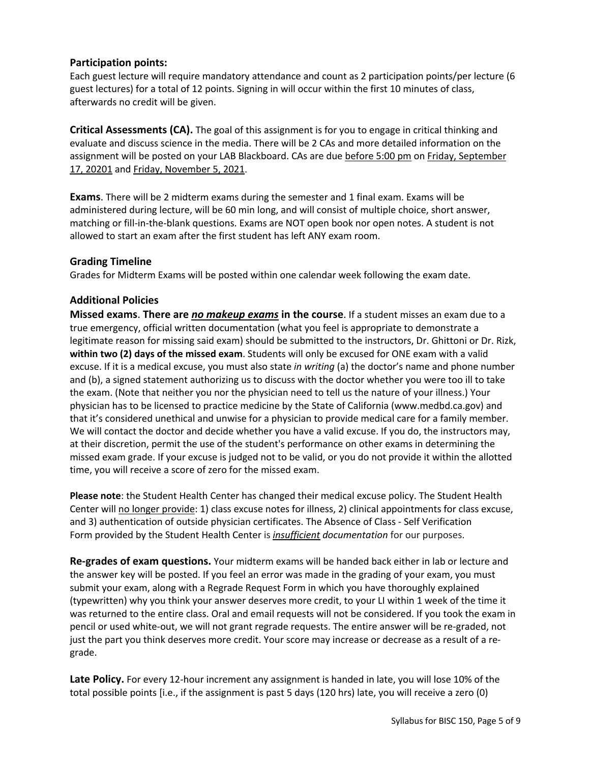# **Participation points:**

Each guest lecture will require mandatory attendance and count as 2 participation points/per lecture (6 guest lectures) for a total of 12 points. Signing in will occur within the first 10 minutes of class, afterwards no credit will be given.

**Critical Assessments (CA).** The goal of this assignment is for you to engage in critical thinking and evaluate and discuss science in the media. There will be 2 CAs and more detailed information on the assignment will be posted on your LAB Blackboard. CAs are due before 5:00 pm on Friday, September 17, 20201 and Friday, November 5, 2021.

**Exams**. There will be 2 midterm exams during the semester and 1 final exam. Exams will be administered during lecture, will be 60 min long, and will consist of multiple choice, short answer, matching or fill-in-the-blank questions. Exams are NOT open book nor open notes. A student is not allowed to start an exam after the first student has left ANY exam room.

# **Grading Timeline**

Grades for Midterm Exams will be posted within one calendar week following the exam date.

# **Additional Policies**

**Missed exams**. **There are** *no makeup exams* **in the course**. If a student misses an exam due to a true emergency, official written documentation (what you feel is appropriate to demonstrate a legitimate reason for missing said exam) should be submitted to the instructors, Dr. Ghittoni or Dr. Rizk, **within two (2) days of the missed exam**. Students will only be excused for ONE exam with a valid excuse. If it is a medical excuse, you must also state *in writing* (a) the doctor's name and phone number and (b), a signed statement authorizing us to discuss with the doctor whether you were too ill to take the exam. (Note that neither you nor the physician need to tell us the nature of your illness.) Your physician has to be licensed to practice medicine by the State of California (www.medbd.ca.gov) and that it's considered unethical and unwise for a physician to provide medical care for a family member. We will contact the doctor and decide whether you have a valid excuse. If you do, the instructors may, at their discretion, permit the use of the student's performance on other exams in determining the missed exam grade. If your excuse is judged not to be valid, or you do not provide it within the allotted time, you will receive a score of zero for the missed exam.

**Please note**: the Student Health Center has changed their medical excuse policy. The Student Health Center will no longer provide: 1) class excuse notes for illness, 2) clinical appointments for class excuse, and 3) authentication of outside physician certificates. The Absence of Class - Self Verification Form provided by the Student Health Center is *insufficient documentation* for our purposes.

**Re-grades of exam questions.** Your midterm exams will be handed back either in lab or lecture and the answer key will be posted. If you feel an error was made in the grading of your exam, you must submit your exam, along with a Regrade Request Form in which you have thoroughly explained (typewritten) why you think your answer deserves more credit, to your LI within 1 week of the time it was returned to the entire class. Oral and email requests will not be considered. If you took the exam in pencil or used white-out, we will not grant regrade requests. The entire answer will be re-graded, not just the part you think deserves more credit. Your score may increase or decrease as a result of a regrade.

**Late Policy.** For every 12-hour increment any assignment is handed in late, you will lose 10% of the total possible points [i.e., if the assignment is past 5 days (120 hrs) late, you will receive a zero (0)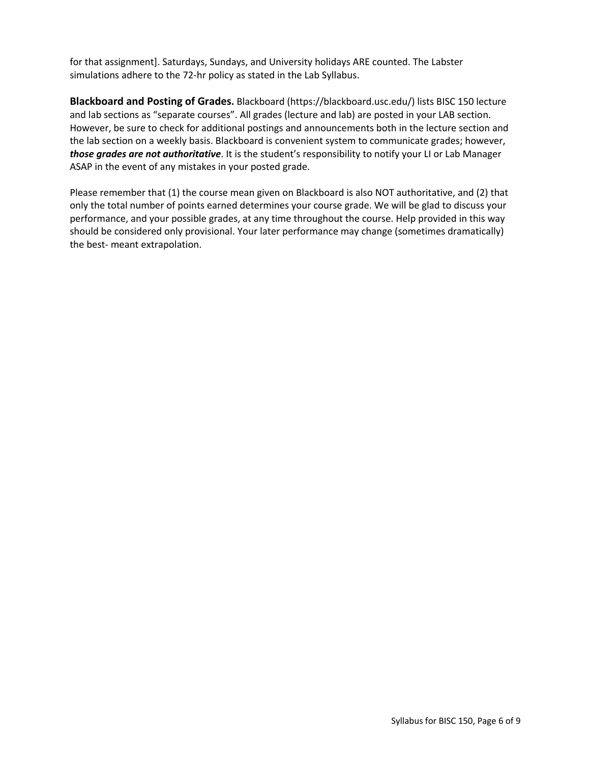for that assignment]. Saturdays, Sundays, and University holidays ARE counted. The Labster simulations adhere to the 72-hr policy as stated in the Lab Syllabus.

**Blackboard and Posting of Grades.** Blackboard (https://blackboard.usc.edu/) lists BISC 150 lecture and lab sections as "separate courses". All grades (lecture and lab) are posted in your LAB section. However, be sure to check for additional postings and announcements both in the lecture section and the lab section on a weekly basis. Blackboard is convenient system to communicate grades; however, *those grades are not authoritative*. It is the student's responsibility to notify your LI or Lab Manager ASAP in the event of any mistakes in your posted grade.

Please remember that (1) the course mean given on Blackboard is also NOT authoritative, and (2) that only the total number of points earned determines your course grade. We will be glad to discuss your performance, and your possible grades, at any time throughout the course. Help provided in this way should be considered only provisional. Your later performance may change (sometimes dramatically) the best- meant extrapolation.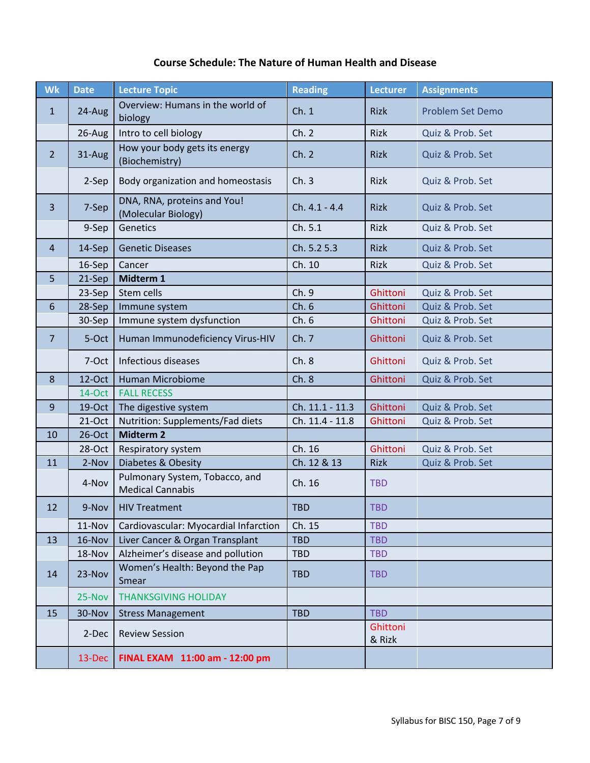# **Course Schedule: The Nature of Human Health and Disease**

| <b>Wk</b>      | <b>Date</b> | <b>Lecture Topic</b>                                      | <b>Reading</b>  | <b>Lecturer</b>    | <b>Assignments</b>      |
|----------------|-------------|-----------------------------------------------------------|-----------------|--------------------|-------------------------|
| $\mathbf{1}$   | 24-Aug      | Overview: Humans in the world of<br>biology               | Ch.1            | <b>Rizk</b>        | <b>Problem Set Demo</b> |
|                | 26-Aug      | Intro to cell biology                                     | Ch.2            | <b>Rizk</b>        | Quiz & Prob. Set        |
| $\overline{2}$ | 31-Aug      | How your body gets its energy<br>(Biochemistry)           | Ch.2            | <b>Rizk</b>        | Quiz & Prob. Set        |
|                | 2-Sep       | Body organization and homeostasis                         | Ch.3            | <b>Rizk</b>        | Quiz & Prob. Set        |
| 3              | 7-Sep       | DNA, RNA, proteins and You!<br>(Molecular Biology)        | Ch. 4.1 - 4.4   | <b>Rizk</b>        | Quiz & Prob. Set        |
|                | 9-Sep       | Genetics                                                  | Ch. 5.1         | Rizk               | Quiz & Prob. Set        |
| $\overline{4}$ | 14-Sep      | <b>Genetic Diseases</b>                                   | Ch. 5.2 5.3     | <b>Rizk</b>        | Quiz & Prob. Set        |
|                | 16-Sep      | Cancer                                                    | Ch. 10          | <b>Rizk</b>        | Quiz & Prob. Set        |
| 5              | 21-Sep      | Midterm 1                                                 |                 |                    |                         |
|                | 23-Sep      | Stem cells                                                | Ch.9            | Ghittoni           | Quiz & Prob. Set        |
| 6              | 28-Sep      | Immune system                                             | Ch.6            | Ghittoni           | Quiz & Prob. Set        |
|                | 30-Sep      | Immune system dysfunction                                 | Ch.6            | Ghittoni           | Quiz & Prob. Set        |
| $\overline{7}$ | 5-Oct       | Human Immunodeficiency Virus-HIV                          | Ch. 7           | Ghittoni           | Quiz & Prob. Set        |
|                | 7-Oct       | Infectious diseases                                       | Ch.8            | Ghittoni           | Quiz & Prob. Set        |
| 8              | 12-Oct      | <b>Human Microbiome</b>                                   | Ch.8            | Ghittoni           | Quiz & Prob. Set        |
|                | 14-Oct      | <b>FALL RECESS</b>                                        |                 |                    |                         |
| $\overline{9}$ | 19-Oct      | The digestive system                                      | Ch. 11.1 - 11.3 | Ghittoni           | Quiz & Prob. Set        |
|                | $21-Oct$    | Nutrition: Supplements/Fad diets                          | Ch. 11.4 - 11.8 | Ghittoni           | Quiz & Prob. Set        |
| 10             | $26$ -Oct   | <b>Midterm 2</b>                                          |                 |                    |                         |
|                | 28-Oct      | Respiratory system                                        | Ch. 16          | Ghittoni           | Quiz & Prob. Set        |
| 11             | 2-Nov       | Diabetes & Obesity                                        | Ch. 12 & 13     | Rizk               | Quiz & Prob. Set        |
|                | 4-Nov       | Pulmonary System, Tobacco, and<br><b>Medical Cannabis</b> | Ch. 16          | <b>TBD</b>         |                         |
| 12             |             | 9-Nov   HIV Treatment                                     | <b>TBD</b>      | <b>TBD</b>         |                         |
|                | 11-Nov      | Cardiovascular: Myocardial Infarction                     | Ch. 15          | <b>TBD</b>         |                         |
| 13             | 16-Nov      | Liver Cancer & Organ Transplant                           | <b>TBD</b>      | <b>TBD</b>         |                         |
|                | 18-Nov      | Alzheimer's disease and pollution                         | TBD             | <b>TBD</b>         |                         |
| 14             | 23-Nov      | Women's Health: Beyond the Pap<br>Smear                   | <b>TBD</b>      | <b>TBD</b>         |                         |
|                | 25-Nov      | <b>THANKSGIVING HOLIDAY</b>                               |                 |                    |                         |
| 15             | 30-Nov      | <b>Stress Management</b>                                  | <b>TBD</b>      | <b>TBD</b>         |                         |
|                | 2-Dec       | <b>Review Session</b>                                     |                 | Ghittoni<br>& Rizk |                         |
|                | 13-Dec      | FINAL EXAM 11:00 am - 12:00 pm                            |                 |                    |                         |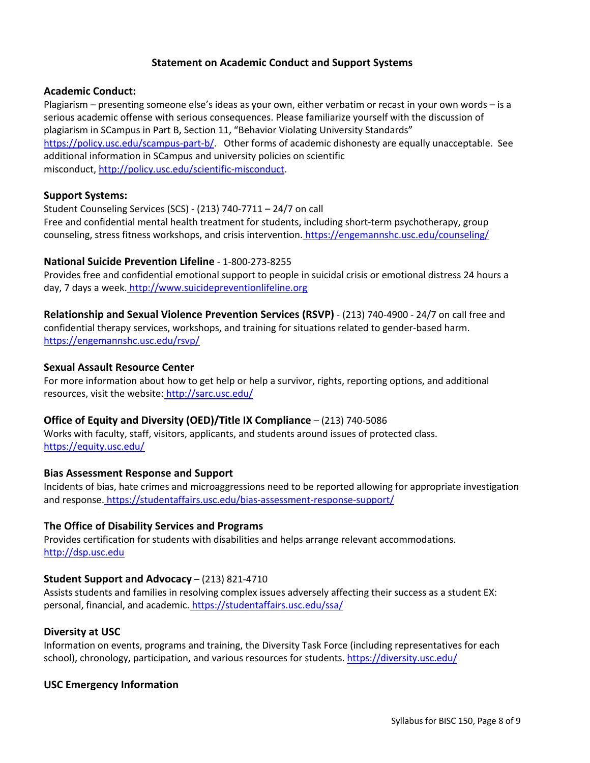# **Statement on Academic Conduct and Support Systems**

### **Academic Conduct:**

Plagiarism – presenting someone else's ideas as your own, either verbatim or recast in your own words – is a serious academic offense with serious consequences. Please familiarize yourself with the discussion of plagiarism in SCampus in Part B, Section 11, "Behavior Violating University Standards" https://policy.usc.edu/scampus-part-b/. Other forms of academic dishonesty are equally unacceptable. See additional information in SCampus and university policies on scientific misconduct, http://policy.usc.edu/scientific-misconduct.

### **Support Systems:**

Student Counseling Services (SCS) - (213) 740-7711 – 24/7 on call Free and confidential mental health treatment for students, including short-term psychotherapy, group counseling, stress fitness workshops, and crisis intervention. https://engemannshc.usc.edu/counseling/

### **National Suicide Prevention Lifeline** - 1-800-273-8255

Provides free and confidential emotional support to people in suicidal crisis or emotional distress 24 hours a day, 7 days a week. http://www.suicidepreventionlifeline.org

**Relationship and Sexual Violence Prevention Services (RSVP)** - (213) 740-4900 - 24/7 on call free and confidential therapy services, workshops, and training for situations related to gender-based harm. https://engemannshc.usc.edu/rsvp/

### **Sexual Assault Resource Center**

For more information about how to get help or help a survivor, rights, reporting options, and additional resources, visit the website: http://sarc.usc.edu/

# **Office of Equity and Diversity (OED)/Title IX Compliance** – (213) 740-5086

Works with faculty, staff, visitors, applicants, and students around issues of protected class. https://equity.usc.edu/

### **Bias Assessment Response and Support**

Incidents of bias, hate crimes and microaggressions need to be reported allowing for appropriate investigation and response. https://studentaffairs.usc.edu/bias-assessment-response-support/

# **The Office of Disability Services and Programs**

Provides certification for students with disabilities and helps arrange relevant accommodations. http://dsp.usc.edu

# **Student Support and Advocacy** – (213) 821-4710

Assists students and families in resolving complex issues adversely affecting their success as a student EX: personal, financial, and academic. https://studentaffairs.usc.edu/ssa/

### **Diversity at USC**

Information on events, programs and training, the Diversity Task Force (including representatives for each school), chronology, participation, and various resources for students. https://diversity.usc.edu/

### **USC Emergency Information**